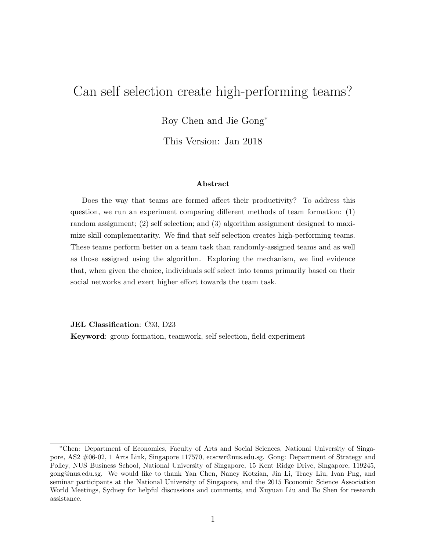# Can self selection create high-performing teams?

Roy Chen and Jie Gong<sup>∗</sup>

This Version: Jan 2018

#### Abstract

Does the way that teams are formed affect their productivity? To address this question, we run an experiment comparing different methods of team formation: (1) random assignment; (2) self selection; and (3) algorithm assignment designed to maximize skill complementarity. We find that self selection creates high-performing teams. These teams perform better on a team task than randomly-assigned teams and as well as those assigned using the algorithm. Exploring the mechanism, we find evidence that, when given the choice, individuals self select into teams primarily based on their social networks and exert higher effort towards the team task.

JEL Classification: C93, D23

Keyword: group formation, teamwork, self selection, field experiment

<sup>∗</sup>Chen: Department of Economics, Faculty of Arts and Social Sciences, National University of Singapore, AS2 #06-02, 1 Arts Link, Singapore 117570, ecscwr@nus.edu.sg. Gong: Department of Strategy and Policy, NUS Business School, National University of Singapore, 15 Kent Ridge Drive, Singapore, 119245, gong@nus.edu.sg. We would like to thank Yan Chen, Nancy Kotzian, Jin Li, Tracy Liu, Ivan Png, and seminar participants at the National University of Singapore, and the 2015 Economic Science Association World Meetings, Sydney for helpful discussions and comments, and Xuyuan Liu and Bo Shen for research assistance.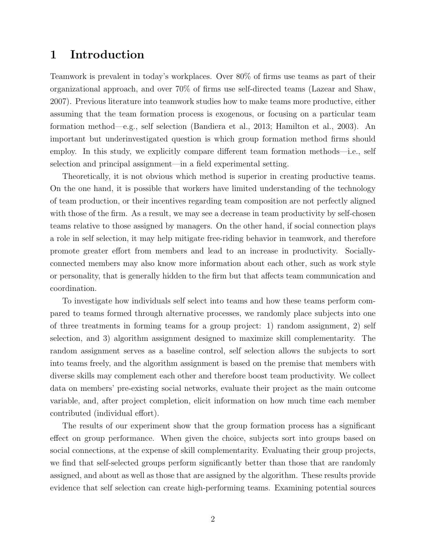### 1 Introduction

Teamwork is prevalent in today's workplaces. Over 80% of firms use teams as part of their organizational approach, and over 70% of firms use self-directed teams (Lazear and Shaw, 2007). Previous literature into teamwork studies how to make teams more productive, either assuming that the team formation process is exogenous, or focusing on a particular team formation method—e.g., self selection (Bandiera et al., 2013; Hamilton et al., 2003). An important but underinvestigated question is which group formation method firms should employ. In this study, we explicitly compare different team formation methods—i.e., self selection and principal assignment—in a field experimental setting.

Theoretically, it is not obvious which method is superior in creating productive teams. On the one hand, it is possible that workers have limited understanding of the technology of team production, or their incentives regarding team composition are not perfectly aligned with those of the firm. As a result, we may see a decrease in team productivity by self-chosen teams relative to those assigned by managers. On the other hand, if social connection plays a role in self selection, it may help mitigate free-riding behavior in teamwork, and therefore promote greater effort from members and lead to an increase in productivity. Sociallyconnected members may also know more information about each other, such as work style or personality, that is generally hidden to the firm but that affects team communication and coordination.

To investigate how individuals self select into teams and how these teams perform compared to teams formed through alternative processes, we randomly place subjects into one of three treatments in forming teams for a group project: 1) random assignment, 2) self selection, and 3) algorithm assignment designed to maximize skill complementarity. The random assignment serves as a baseline control, self selection allows the subjects to sort into teams freely, and the algorithm assignment is based on the premise that members with diverse skills may complement each other and therefore boost team productivity. We collect data on members' pre-existing social networks, evaluate their project as the main outcome variable, and, after project completion, elicit information on how much time each member contributed (individual effort).

The results of our experiment show that the group formation process has a significant effect on group performance. When given the choice, subjects sort into groups based on social connections, at the expense of skill complementarity. Evaluating their group projects, we find that self-selected groups perform significantly better than those that are randomly assigned, and about as well as those that are assigned by the algorithm. These results provide evidence that self selection can create high-performing teams. Examining potential sources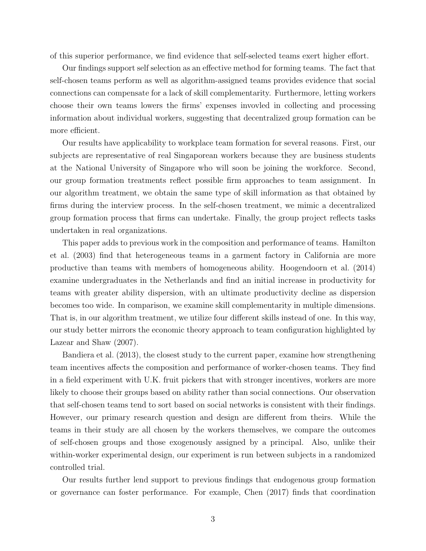of this superior performance, we find evidence that self-selected teams exert higher effort.

Our findings support self selection as an effective method for forming teams. The fact that self-chosen teams perform as well as algorithm-assigned teams provides evidence that social connections can compensate for a lack of skill complementarity. Furthermore, letting workers choose their own teams lowers the firms' expenses invovled in collecting and processing information about individual workers, suggesting that decentralized group formation can be more efficient.

Our results have applicability to workplace team formation for several reasons. First, our subjects are representative of real Singaporean workers because they are business students at the National University of Singapore who will soon be joining the workforce. Second, our group formation treatments reflect possible firm approaches to team assignment. In our algorithm treatment, we obtain the same type of skill information as that obtained by firms during the interview process. In the self-chosen treatment, we mimic a decentralized group formation process that firms can undertake. Finally, the group project reflects tasks undertaken in real organizations.

This paper adds to previous work in the composition and performance of teams. Hamilton et al. (2003) find that heterogeneous teams in a garment factory in California are more productive than teams with members of homogeneous ability. Hoogendoorn et al. (2014) examine undergraduates in the Netherlands and find an initial increase in productivity for teams with greater ability dispersion, with an ultimate productivity decline as dispersion becomes too wide. In comparison, we examine skill complementarity in multiple dimensions. That is, in our algorithm treatment, we utilize four different skills instead of one. In this way, our study better mirrors the economic theory approach to team configuration highlighted by Lazear and Shaw (2007).

Bandiera et al. (2013), the closest study to the current paper, examine how strengthening team incentives affects the composition and performance of worker-chosen teams. They find in a field experiment with U.K. fruit pickers that with stronger incentives, workers are more likely to choose their groups based on ability rather than social connections. Our observation that self-chosen teams tend to sort based on social networks is consistent with their findings. However, our primary research question and design are different from theirs. While the teams in their study are all chosen by the workers themselves, we compare the outcomes of self-chosen groups and those exogenously assigned by a principal. Also, unlike their within-worker experimental design, our experiment is run between subjects in a randomized controlled trial.

Our results further lend support to previous findings that endogenous group formation or governance can foster performance. For example, Chen (2017) finds that coordination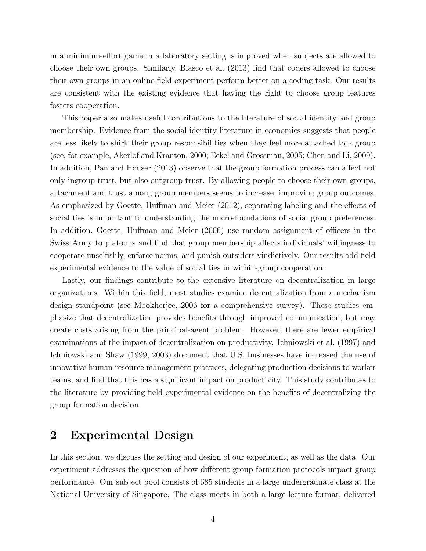in a minimum-effort game in a laboratory setting is improved when subjects are allowed to choose their own groups. Similarly, Blasco et al. (2013) find that coders allowed to choose their own groups in an online field experiment perform better on a coding task. Our results are consistent with the existing evidence that having the right to choose group features fosters cooperation.

This paper also makes useful contributions to the literature of social identity and group membership. Evidence from the social identity literature in economics suggests that people are less likely to shirk their group responsibilities when they feel more attached to a group (see, for example, Akerlof and Kranton, 2000; Eckel and Grossman, 2005; Chen and Li, 2009). In addition, Pan and Houser (2013) observe that the group formation process can affect not only ingroup trust, but also outgroup trust. By allowing people to choose their own groups, attachment and trust among group members seems to increase, improving group outcomes. As emphasized by Goette, Huffman and Meier (2012), separating labeling and the effects of social ties is important to understanding the micro-foundations of social group preferences. In addition, Goette, Huffman and Meier (2006) use random assignment of officers in the Swiss Army to platoons and find that group membership affects individuals' willingness to cooperate unselfishly, enforce norms, and punish outsiders vindictively. Our results add field experimental evidence to the value of social ties in within-group cooperation.

Lastly, our findings contribute to the extensive literature on decentralization in large organizations. Within this field, most studies examine decentralization from a mechanism design standpoint (see Mookherjee, 2006 for a comprehensive survey). These studies emphasize that decentralization provides benefits through improved communication, but may create costs arising from the principal-agent problem. However, there are fewer empirical examinations of the impact of decentralization on productivity. Ichniowski et al. (1997) and Ichniowski and Shaw (1999, 2003) document that U.S. businesses have increased the use of innovative human resource management practices, delegating production decisions to worker teams, and find that this has a significant impact on productivity. This study contributes to the literature by providing field experimental evidence on the benefits of decentralizing the group formation decision.

## 2 Experimental Design

In this section, we discuss the setting and design of our experiment, as well as the data. Our experiment addresses the question of how different group formation protocols impact group performance. Our subject pool consists of 685 students in a large undergraduate class at the National University of Singapore. The class meets in both a large lecture format, delivered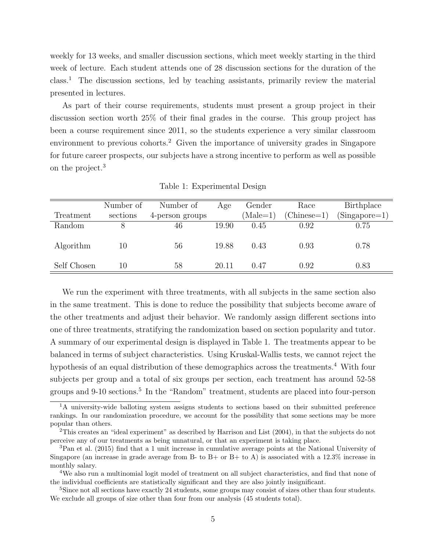weekly for 13 weeks, and smaller discussion sections, which meet weekly starting in the third week of lecture. Each student attends one of 28 discussion sections for the duration of the class.<sup>1</sup> The discussion sections, led by teaching assistants, primarily review the material presented in lectures.

As part of their course requirements, students must present a group project in their discussion section worth 25% of their final grades in the course. This group project has been a course requirement since 2011, so the students experience a very similar classroom environment to previous cohorts.<sup>2</sup> Given the importance of university grades in Singapore for future career prospects, our subjects have a strong incentive to perform as well as possible on the project.<sup>3</sup>

|             | Number of | Number of       | Age   | Gender            | Race          | <b>Birthplace</b> |
|-------------|-----------|-----------------|-------|-------------------|---------------|-------------------|
| Treatment   | sections  | 4-person groups |       | $(\text{Male}=1)$ | $(Chinese=1)$ | $(Singa pore=1)$  |
| Random      |           | 46              | 19.90 | 0.45              | 0.92          | 0.75              |
| Algorithm   | 10        | 56              | 19.88 | 0.43              | 0.93          | 0.78              |
| Self Chosen | 10        | 58              | 20.11 | 0.47              | 0.92          | 0.83              |

Table 1: Experimental Design

We run the experiment with three treatments, with all subjects in the same section also in the same treatment. This is done to reduce the possibility that subjects become aware of the other treatments and adjust their behavior. We randomly assign different sections into one of three treatments, stratifying the randomization based on section popularity and tutor. A summary of our experimental design is displayed in Table 1. The treatments appear to be balanced in terms of subject characteristics. Using Kruskal-Wallis tests, we cannot reject the hypothesis of an equal distribution of these demographics across the treatments.<sup>4</sup> With four subjects per group and a total of six groups per section, each treatment has around 52-58 groups and 9-10 sections.<sup>5</sup> In the "Random" treatment, students are placed into four-person

<sup>&</sup>lt;sup>1</sup>A university-wide balloting system assigns students to sections based on their submitted preference rankings. In our randomization procedure, we account for the possibility that some sections may be more popular than others.

<sup>2</sup>This creates an "ideal experiment" as described by Harrison and List (2004), in that the subjects do not perceive any of our treatments as being unnatural, or that an experiment is taking place.

<sup>3</sup>Pan et al. (2015) find that a 1 unit increase in cumulative average points at the National University of Singapore (an increase in grade average from B- to B+ or B+ to A) is associated with a  $12.3\%$  increase in monthly salary.

<sup>4</sup>We also run a multinomial logit model of treatment on all subject characteristics, and find that none of the individual coefficients are statistically significant and they are also jointly insignificant.

<sup>&</sup>lt;sup>5</sup>Since not all sections have exactly 24 students, some groups may consist of sizes other than four students. We exclude all groups of size other than four from our analysis (45 students total).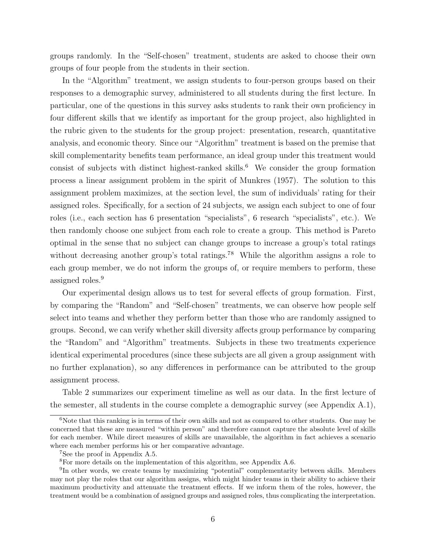groups randomly. In the "Self-chosen" treatment, students are asked to choose their own groups of four people from the students in their section.

In the "Algorithm" treatment, we assign students to four-person groups based on their responses to a demographic survey, administered to all students during the first lecture. In particular, one of the questions in this survey asks students to rank their own proficiency in four different skills that we identify as important for the group project, also highlighted in the rubric given to the students for the group project: presentation, research, quantitative analysis, and economic theory. Since our "Algorithm" treatment is based on the premise that skill complementarity benefits team performance, an ideal group under this treatment would consist of subjects with distinct highest-ranked skills.<sup>6</sup> We consider the group formation process a linear assignment problem in the spirit of Munkres (1957). The solution to this assignment problem maximizes, at the section level, the sum of individuals' rating for their assigned roles. Specifically, for a section of 24 subjects, we assign each subject to one of four roles (i.e., each section has 6 presentation "specialists", 6 research "specialists", etc.). We then randomly choose one subject from each role to create a group. This method is Pareto optimal in the sense that no subject can change groups to increase a group's total ratings without decreasing another group's total ratings.<sup>78</sup> While the algorithm assigns a role to each group member, we do not inform the groups of, or require members to perform, these assigned roles.<sup>9</sup>

Our experimental design allows us to test for several effects of group formation. First, by comparing the "Random" and "Self-chosen" treatments, we can observe how people self select into teams and whether they perform better than those who are randomly assigned to groups. Second, we can verify whether skill diversity affects group performance by comparing the "Random" and "Algorithm" treatments. Subjects in these two treatments experience identical experimental procedures (since these subjects are all given a group assignment with no further explanation), so any differences in performance can be attributed to the group assignment process.

Table 2 summarizes our experiment timeline as well as our data. In the first lecture of the semester, all students in the course complete a demographic survey (see Appendix A.1),

 $6N$ ote that this ranking is in terms of their own skills and not as compared to other students. One may be concerned that these are measured "within person" and therefore cannot capture the absolute level of skills for each member. While direct measures of skills are unavailable, the algorithm in fact achieves a scenario where each member performs his or her comparative advantage.

<sup>7</sup>See the proof in Appendix A.5.

<sup>8</sup>For more details on the implementation of this algorithm, see Appendix A.6.

<sup>&</sup>lt;sup>9</sup>In other words, we create teams by maximizing "potential" complementarity between skills. Members may not play the roles that our algorithm assigns, which might hinder teams in their ability to achieve their maximum productivity and attenuate the treatment effects. If we inform them of the roles, however, the treatment would be a combination of assigned groups and assigned roles, thus complicating the interpretation.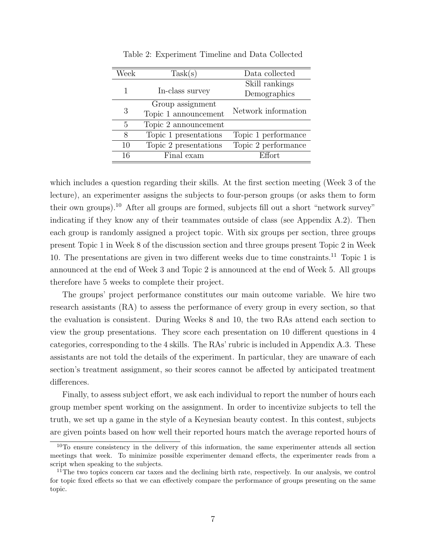| Week | Task(s)               | Data collected      |  |
|------|-----------------------|---------------------|--|
|      |                       | Skill rankings      |  |
|      | In-class survey       | Demographics        |  |
|      | Group assignment      |                     |  |
| 3    | Topic 1 announcement  | Network information |  |
| 5    | Topic 2 announcement  |                     |  |
| 8    | Topic 1 presentations | Topic 1 performance |  |
| 10   | Topic 2 presentations | Topic 2 performance |  |
| 16   | Final exam            | Effort.             |  |

Table 2: Experiment Timeline and Data Collected

which includes a question regarding their skills. At the first section meeting (Week 3 of the lecture), an experimenter assigns the subjects to four-person groups (or asks them to form their own groups).<sup>10</sup> After all groups are formed, subjects fill out a short "network survey" indicating if they know any of their teammates outside of class (see Appendix A.2). Then each group is randomly assigned a project topic. With six groups per section, three groups present Topic 1 in Week 8 of the discussion section and three groups present Topic 2 in Week 10. The presentations are given in two different weeks due to time constraints.<sup>11</sup> Topic 1 is announced at the end of Week 3 and Topic 2 is announced at the end of Week 5. All groups therefore have 5 weeks to complete their project.

The groups' project performance constitutes our main outcome variable. We hire two research assistants (RA) to assess the performance of every group in every section, so that the evaluation is consistent. During Weeks 8 and 10, the two RAs attend each section to view the group presentations. They score each presentation on 10 different questions in 4 categories, corresponding to the 4 skills. The RAs' rubric is included in Appendix A.3. These assistants are not told the details of the experiment. In particular, they are unaware of each section's treatment assignment, so their scores cannot be affected by anticipated treatment differences.

Finally, to assess subject effort, we ask each individual to report the number of hours each group member spent working on the assignment. In order to incentivize subjects to tell the truth, we set up a game in the style of a Keynesian beauty contest. In this contest, subjects are given points based on how well their reported hours match the average reported hours of

<sup>10</sup>To ensure consistency in the delivery of this information, the same experimenter attends all section meetings that week. To minimize possible experimenter demand effects, the experimenter reads from a script when speaking to the subjects.

 $11$ The two topics concern car taxes and the declining birth rate, respectively. In our analysis, we control for topic fixed effects so that we can effectively compare the performance of groups presenting on the same topic.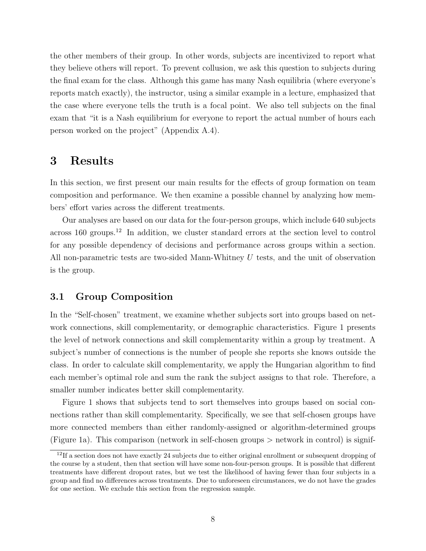the other members of their group. In other words, subjects are incentivized to report what they believe others will report. To prevent collusion, we ask this question to subjects during the final exam for the class. Although this game has many Nash equilibria (where everyone's reports match exactly), the instructor, using a similar example in a lecture, emphasized that the case where everyone tells the truth is a focal point. We also tell subjects on the final exam that "it is a Nash equilibrium for everyone to report the actual number of hours each person worked on the project" (Appendix A.4).

### 3 Results

In this section, we first present our main results for the effects of group formation on team composition and performance. We then examine a possible channel by analyzing how members' effort varies across the different treatments.

Our analyses are based on our data for the four-person groups, which include 640 subjects across 160 groups.<sup>12</sup> In addition, we cluster standard errors at the section level to control for any possible dependency of decisions and performance across groups within a section. All non-parametric tests are two-sided Mann-Whitney U tests, and the unit of observation is the group.

### 3.1 Group Composition

In the "Self-chosen" treatment, we examine whether subjects sort into groups based on network connections, skill complementarity, or demographic characteristics. Figure 1 presents the level of network connections and skill complementarity within a group by treatment. A subject's number of connections is the number of people she reports she knows outside the class. In order to calculate skill complementarity, we apply the Hungarian algorithm to find each member's optimal role and sum the rank the subject assigns to that role. Therefore, a smaller number indicates better skill complementarity.

Figure 1 shows that subjects tend to sort themselves into groups based on social connections rather than skill complementarity. Specifically, we see that self-chosen groups have more connected members than either randomly-assigned or algorithm-determined groups (Figure 1a). This comparison (network in self-chosen groups > network in control) is signif-

<sup>&</sup>lt;sup>12</sup>If a section does not have exactly 24 subjects due to either original enrollment or subsequent dropping of the course by a student, then that section will have some non-four-person groups. It is possible that different treatments have different dropout rates, but we test the likelihood of having fewer than four subjects in a group and find no differences across treatments. Due to unforeseen circumstances, we do not have the grades for one section. We exclude this section from the regression sample.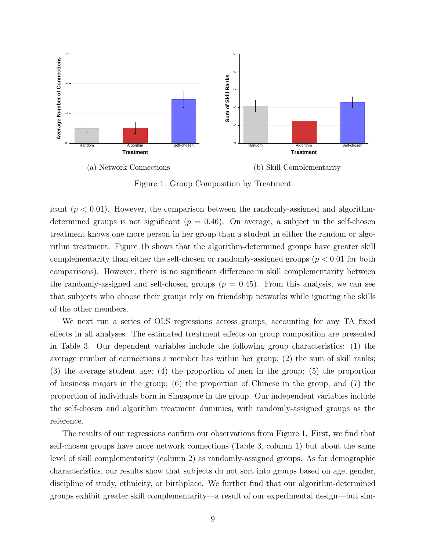

Figure 1: Group Composition by Treatment

icant  $(p < 0.01)$ . However, the comparison between the randomly-assigned and algorithmdetermined groups is not significant ( $p = 0.46$ ). On average, a subject in the self-chosen treatment knows one more person in her group than a student in either the random or algorithm treatment. Figure 1b shows that the algorithm-determined groups have greater skill complementarity than either the self-chosen or randomly-assigned groups ( $p < 0.01$  for both comparisons). However, there is no significant difference in skill complementarity between the randomly-assigned and self-chosen groups ( $p = 0.45$ ). From this analysis, we can see that subjects who choose their groups rely on friendship networks while ignoring the skills of the other members.

We next run a series of OLS regressions across groups, accounting for any TA fixed effects in all analyses. The estimated treatment effects on group composition are presented in Table 3. Our dependent variables include the following group characteristics: (1) the average number of connections a member has within her group; (2) the sum of skill ranks; (3) the average student age; (4) the proportion of men in the group; (5) the proportion of business majors in the group; (6) the proportion of Chinese in the group, and (7) the proportion of individuals born in Singapore in the group. Our independent variables include the self-chosen and algorithm treatment dummies, with randomly-assigned groups as the reference.

The results of our regressions confirm our observations from Figure 1. First, we find that self-chosen groups have more network connections (Table 3, column 1) but about the same level of skill complementarity (column 2) as randomly-assigned groups. As for demographic characteristics, our results show that subjects do not sort into groups based on age, gender, discipline of study, ethnicity, or birthplace. We further find that our algorithm-determined groups exhibit greater skill complementarity—a result of our experimental design—but sim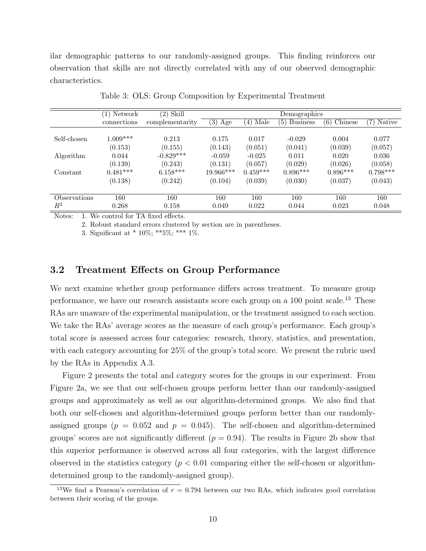ilar demographic patterns to our randomly-assigned groups. This finding reinforces our observation that skills are not directly correlated with any of our observed demographic characteristics.

|                | (1) Network | Skill<br>$\left( 2\right)$ |            |             | Demographics           |                |               |
|----------------|-------------|----------------------------|------------|-------------|------------------------|----------------|---------------|
|                | connections | complementarity            | (3)<br>Age | Male<br>(4) | <b>Business</b><br>(5) | Chinese<br>(6) | Native<br>(7) |
|                |             |                            |            |             |                        |                |               |
| Self-chosen    | $1.009***$  | 0.213                      | 0.175      | 0.017       | $-0.029$               | 0.004          | 0.077         |
|                | (0.153)     | (0.155)                    | (0.143)    | (0.051)     | (0.041)                | (0.039)        | (0.057)       |
| Algorithm      | 0.044       | $-0.829***$                | $-0.059$   | $-0.025$    | 0.011                  | 0.020          | 0.036         |
|                | (0.139)     | (0.243)                    | (0.131)    | (0.057)     | (0.029)                | (0.026)        | (0.058)       |
| Constant       | $0.481***$  | $6.158***$                 | 19.966***  | $0.459***$  | $0.896***$             | $0.896***$     | $0.798***$    |
|                | (0.138)     | (0.242)                    | (0.104)    | (0.039)     | (0.030)                | (0.037)        | (0.043)       |
|                |             |                            |            |             |                        |                |               |
| Observations   | 160         | 160                        | 160        | 160         | 160                    | 160            | 160           |
| $\mathbb{R}^2$ | 0.268       | 0.158                      | 0.049      | 0.022       | 0.044                  | 0.023          | 0.048         |

Table 3: OLS: Group Composition by Experimental Treatment

Notes: 1. We control for TA fixed effects.

2. Robust standard errors clustered by section are in parentheses.

3. Significant at \* 10%; \*\*5%; \*\*\* 1%.

### 3.2 Treatment Effects on Group Performance

We next examine whether group performance differs across treatment. To measure group performance, we have our research assistants score each group on a  $100$  point scale.<sup>13</sup> These RAs are unaware of the experimental manipulation, or the treatment assigned to each section. We take the RAs' average scores as the measure of each group's performance. Each group's total score is assessed across four categories: research, theory, statistics, and presentation, with each category accounting for 25% of the group's total score. We present the rubric used by the RAs in Appendix A.3.

Figure 2 presents the total and category scores for the groups in our experiment. From Figure 2a, we see that our self-chosen groups perform better than our randomly-assigned groups and approximately as well as our algorithm-determined groups. We also find that both our self-chosen and algorithm-determined groups perform better than our randomlyassigned groups ( $p = 0.052$  and  $p = 0.045$ ). The self-chosen and algorithm-determined groups' scores are not significantly different  $(p = 0.94)$ . The results in Figure 2b show that this superior performance is observed across all four categories, with the largest difference observed in the statistics category ( $p < 0.01$  comparing either the self-chosen or algorithmdetermined group to the randomly-assigned group).

<sup>&</sup>lt;sup>13</sup>We find a Pearson's correlation of  $r = 0.794$  between our two RAs, which indicates good correlation between their scoring of the groups.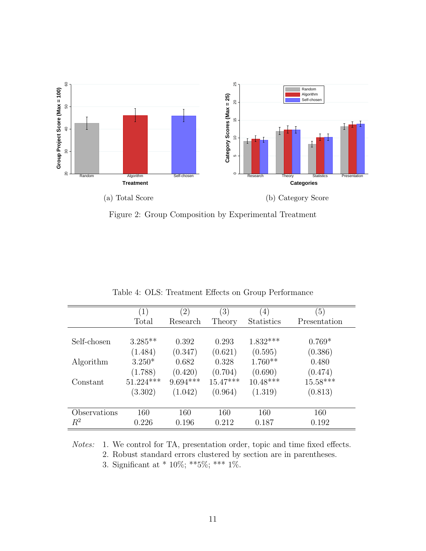

Figure 2: Group Composition by Experimental Treatment

|              | 1)          | $\left( 2\right)$ | $\left(3\right)$ | $\left(4\right)$  | $\left(5\right)$ |
|--------------|-------------|-------------------|------------------|-------------------|------------------|
|              | Total       | Research          | Theory           | <b>Statistics</b> | Presentation     |
|              |             |                   |                  |                   |                  |
| Self-chosen  | $3.285**$   | 0.392             | 0.293            | $1.832***$        | $0.769*$         |
|              | (1.484)     | (0.347)           | (0.621)          | (0.595)           | (0.386)          |
| Algorithm    | $3.250*$    | 0.682             | 0.328            | $1.760**$         | 0.480            |
|              | (1.788)     | (0.420)           | (0.704)          | (0.690)           | (0.474)          |
| Constant     | $51.224***$ | $9.694***$        | $15.47***$       | $10.48***$        | $15.58***$       |
|              | (3.302)     | (1.042)           | (0.964)          | (1.319)           | (0.813)          |
|              |             |                   |                  |                   |                  |
| Observations | 160         | 160               | 160              | 160               | 160              |
| $R^2$        | 0.226       | 0.196             | 0.212            | 0.187             | 0.192            |

Table 4: OLS: Treatment Effects on Group Performance

Notes: 1. We control for TA, presentation order, topic and time fixed effects. 2. Robust standard errors clustered by section are in parentheses. 3. Significant at \* 10%; \*\*\*5%; \*\*\*  $1\%$ .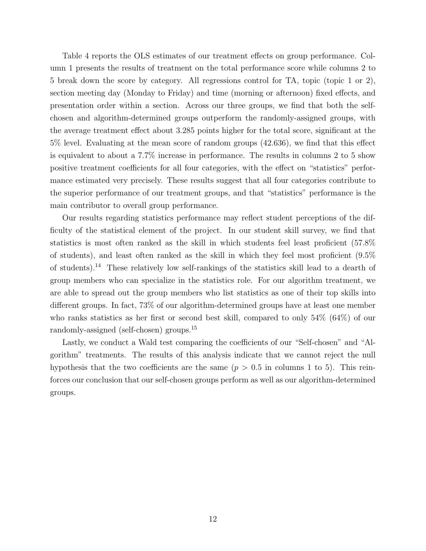Table 4 reports the OLS estimates of our treatment effects on group performance. Column 1 presents the results of treatment on the total performance score while columns 2 to 5 break down the score by category. All regressions control for TA, topic (topic 1 or 2), section meeting day (Monday to Friday) and time (morning or afternoon) fixed effects, and presentation order within a section. Across our three groups, we find that both the selfchosen and algorithm-determined groups outperform the randomly-assigned groups, with the average treatment effect about 3.285 points higher for the total score, significant at the 5% level. Evaluating at the mean score of random groups (42.636), we find that this effect is equivalent to about a 7.7% increase in performance. The results in columns 2 to 5 show positive treatment coefficients for all four categories, with the effect on "statistics" performance estimated very precisely. These results suggest that all four categories contribute to the superior performance of our treatment groups, and that "statistics" performance is the main contributor to overall group performance.

Our results regarding statistics performance may reflect student perceptions of the difficulty of the statistical element of the project. In our student skill survey, we find that statistics is most often ranked as the skill in which students feel least proficient (57.8% of students), and least often ranked as the skill in which they feel most proficient (9.5% of students).<sup>14</sup> These relatively low self-rankings of the statistics skill lead to a dearth of group members who can specialize in the statistics role. For our algorithm treatment, we are able to spread out the group members who list statistics as one of their top skills into different groups. In fact, 73% of our algorithm-determined groups have at least one member who ranks statistics as her first or second best skill, compared to only 54% (64%) of our randomly-assigned (self-chosen) groups.<sup>15</sup>

Lastly, we conduct a Wald test comparing the coefficients of our "Self-chosen" and "Algorithm" treatments. The results of this analysis indicate that we cannot reject the null hypothesis that the two coefficients are the same  $(p > 0.5$  in columns 1 to 5). This reinforces our conclusion that our self-chosen groups perform as well as our algorithm-determined groups.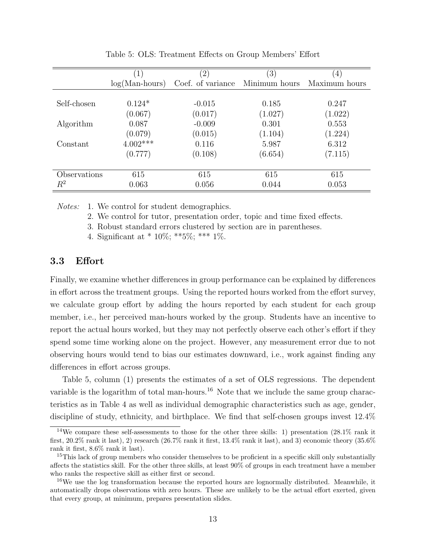|              |                  | $\left( 2\right)$ | $^{\prime}3)$ | $\left(4\right)$ |
|--------------|------------------|-------------------|---------------|------------------|
|              | $log(Man-hours)$ | Coef. of variance | Minimum hours | Maximum hours    |
|              |                  |                   |               |                  |
| Self-chosen  | $0.124*$         | $-0.015$          | 0.185         | 0.247            |
|              | (0.067)          | (0.017)           | (1.027)       | (1.022)          |
| Algorithm    | 0.087            | $-0.009$          | 0.301         | 0.553            |
|              | (0.079)          | (0.015)           | (1.104)       | (1.224)          |
| Constant     | $4.002***$       | 0.116             | 5.987         | 6.312            |
|              | (0.777)          | (0.108)           | (6.654)       | (7.115)          |
|              |                  |                   |               |                  |
| Observations | 615              | 615               | 615           | 615              |
| $\,R^2$      | 0.063            | 0.056             | 0.044         | 0.053            |

Table 5: OLS: Treatment Effects on Group Members' Effort

Notes: 1. We control for student demographics.

2. We control for tutor, presentation order, topic and time fixed effects.

3. Robust standard errors clustered by section are in parentheses.

4. Significant at \* 10%; \*\*5%; \*\*\* 1%.

### 3.3 Effort

Finally, we examine whether differences in group performance can be explained by differences in effort across the treatment groups. Using the reported hours worked from the effort survey, we calculate group effort by adding the hours reported by each student for each group member, i.e., her perceived man-hours worked by the group. Students have an incentive to report the actual hours worked, but they may not perfectly observe each other's effort if they spend some time working alone on the project. However, any measurement error due to not observing hours would tend to bias our estimates downward, i.e., work against finding any differences in effort across groups.

Table 5, column (1) presents the estimates of a set of OLS regressions. The dependent variable is the logarithm of total man-hours.<sup>16</sup> Note that we include the same group characteristics as in Table 4 as well as individual demographic characteristics such as age, gender, discipline of study, ethnicity, and birthplace. We find that self-chosen groups invest 12.4%

<sup>&</sup>lt;sup>14</sup>We compare these self-assessments to those for the other three skills: 1) presentation  $(28.1\%$  rank it first, 20.2% rank it last), 2) research (26.7% rank it first, 13.4% rank it last), and 3) economic theory (35.6% rank it first, 8.6% rank it last).

<sup>&</sup>lt;sup>15</sup>This lack of group members who consider themselves to be proficient in a specific skill only substantially affects the statistics skill. For the other three skills, at least 90% of groups in each treatment have a member who ranks the respective skill as either first or second.

 $16\text{We}$  use the log transformation because the reported hours are lognormally distributed. Meanwhile, it automatically drops observations with zero hours. These are unlikely to be the actual effort exerted, given that every group, at minimum, prepares presentation slides.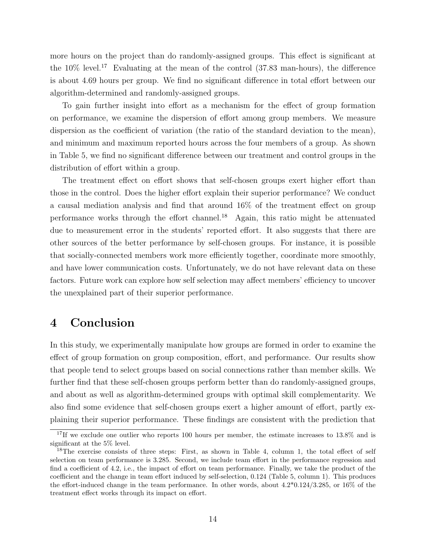more hours on the project than do randomly-assigned groups. This effect is significant at the  $10\%$  level.<sup>17</sup> Evaluating at the mean of the control (37.83 man-hours), the difference is about 4.69 hours per group. We find no significant difference in total effort between our algorithm-determined and randomly-assigned groups.

To gain further insight into effort as a mechanism for the effect of group formation on performance, we examine the dispersion of effort among group members. We measure dispersion as the coefficient of variation (the ratio of the standard deviation to the mean), and minimum and maximum reported hours across the four members of a group. As shown in Table 5, we find no significant difference between our treatment and control groups in the distribution of effort within a group.

The treatment effect on effort shows that self-chosen groups exert higher effort than those in the control. Does the higher effort explain their superior performance? We conduct a causal mediation analysis and find that around 16% of the treatment effect on group performance works through the effort channel.<sup>18</sup> Again, this ratio might be attenuated due to measurement error in the students' reported effort. It also suggests that there are other sources of the better performance by self-chosen groups. For instance, it is possible that socially-connected members work more efficiently together, coordinate more smoothly, and have lower communication costs. Unfortunately, we do not have relevant data on these factors. Future work can explore how self selection may affect members' efficiency to uncover the unexplained part of their superior performance.

## 4 Conclusion

In this study, we experimentally manipulate how groups are formed in order to examine the effect of group formation on group composition, effort, and performance. Our results show that people tend to select groups based on social connections rather than member skills. We further find that these self-chosen groups perform better than do randomly-assigned groups, and about as well as algorithm-determined groups with optimal skill complementarity. We also find some evidence that self-chosen groups exert a higher amount of effort, partly explaining their superior performance. These findings are consistent with the prediction that

<sup>&</sup>lt;sup>17</sup>If we exclude one outlier who reports 100 hours per member, the estimate increases to 13.8% and is significant at the 5% level.

<sup>&</sup>lt;sup>18</sup>The exercise consists of three steps: First, as shown in Table 4, column 1, the total effect of self selection on team performance is 3.285. Second, we include team effort in the performance regression and find a coefficient of 4.2, i.e., the impact of effort on team performance. Finally, we take the product of the coefficient and the change in team effort induced by self-selection, 0.124 (Table 5, column 1). This produces the effort-induced change in the team performance. In other words, about 4.2\*0.124/3.285, or 16% of the treatment effect works through its impact on effort.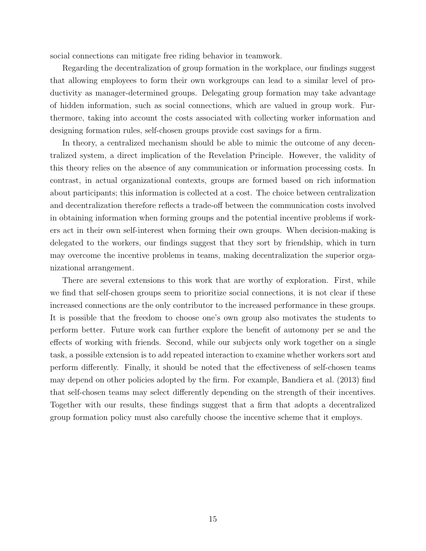social connections can mitigate free riding behavior in teamwork.

Regarding the decentralization of group formation in the workplace, our findings suggest that allowing employees to form their own workgroups can lead to a similar level of productivity as manager-determined groups. Delegating group formation may take advantage of hidden information, such as social connections, which are valued in group work. Furthermore, taking into account the costs associated with collecting worker information and designing formation rules, self-chosen groups provide cost savings for a firm.

In theory, a centralized mechanism should be able to mimic the outcome of any decentralized system, a direct implication of the Revelation Principle. However, the validity of this theory relies on the absence of any communication or information processing costs. In contrast, in actual organizational contexts, groups are formed based on rich information about participants; this information is collected at a cost. The choice between centralization and decentralization therefore reflects a trade-off between the communication costs involved in obtaining information when forming groups and the potential incentive problems if workers act in their own self-interest when forming their own groups. When decision-making is delegated to the workers, our findings suggest that they sort by friendship, which in turn may overcome the incentive problems in teams, making decentralization the superior organizational arrangement.

There are several extensions to this work that are worthy of exploration. First, while we find that self-chosen groups seem to prioritize social connections, it is not clear if these increased connections are the only contributor to the increased performance in these groups. It is possible that the freedom to choose one's own group also motivates the students to perform better. Future work can further explore the benefit of automony per se and the effects of working with friends. Second, while our subjects only work together on a single task, a possible extension is to add repeated interaction to examine whether workers sort and perform differently. Finally, it should be noted that the effectiveness of self-chosen teams may depend on other policies adopted by the firm. For example, Bandiera et al. (2013) find that self-chosen teams may select differently depending on the strength of their incentives. Together with our results, these findings suggest that a firm that adopts a decentralized group formation policy must also carefully choose the incentive scheme that it employs.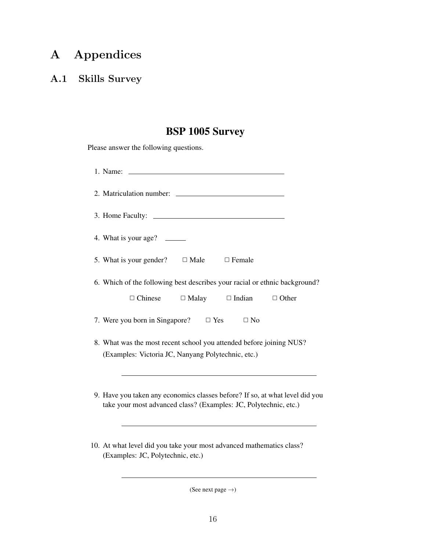# A Appendices

## A.1 Skills Survey

# BSP 1005 Survey

Please answer the following questions.

| 1. Name:                                                                                                                                         |
|--------------------------------------------------------------------------------------------------------------------------------------------------|
|                                                                                                                                                  |
|                                                                                                                                                  |
| 4. What is your age?                                                                                                                             |
| 5. What is your gender? $\Box$ Male $\Box$ Female                                                                                                |
| 6. Which of the following best describes your racial or ethnic background?                                                                       |
| $\Box$ Chinese $\Box$ Malay $\Box$ Indian $\Box$ Other                                                                                           |
| 7. Were you born in Singapore? $\Box$ Yes $\Box$ No                                                                                              |
| 8. What was the most recent school you attended before joining NUS?                                                                              |
| (Examples: Victoria JC, Nanyang Polytechnic, etc.)                                                                                               |
|                                                                                                                                                  |
| 9. Have you taken any economics classes before? If so, at what level did you<br>take your most advanced class? (Examples: JC, Polytechnic, etc.) |
|                                                                                                                                                  |

10. At what level did you take your most advanced mathematics class? (Examples: JC, Polytechnic, etc.)

(See next page  $\rightarrow$ )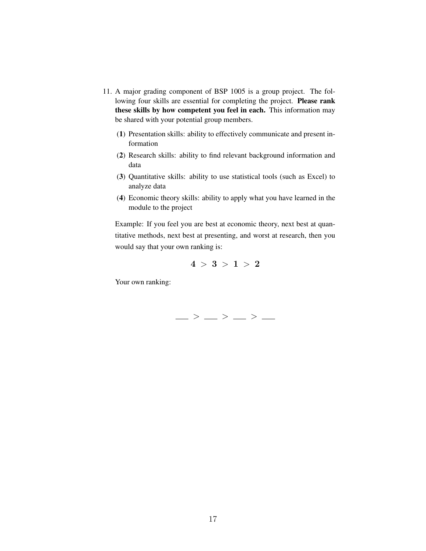- 11. A major grading component of BSP 1005 is a group project. The following four skills are essential for completing the project. Please rank these skills by how competent you feel in each. This information may be shared with your potential group members.
	- (1) Presentation skills: ability to effectively communicate and present information
	- (2) Research skills: ability to find relevant background information and data
	- (3) Quantitative skills: ability to use statistical tools (such as Excel) to analyze data
	- (4) Economic theory skills: ability to apply what you have learned in the module to the project

Example: If you feel you are best at economic theory, next best at quantitative methods, next best at presenting, and worst at research, then you would say that your own ranking is:

$$
4 \, > \, 3 \, > \, 1 \, > \, 2
$$

Your own ranking:

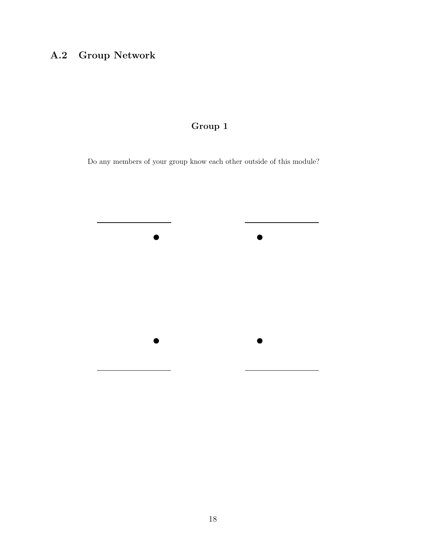# A.2 Group Network

## Group 1

Do any members of your group know each other outside of this module?

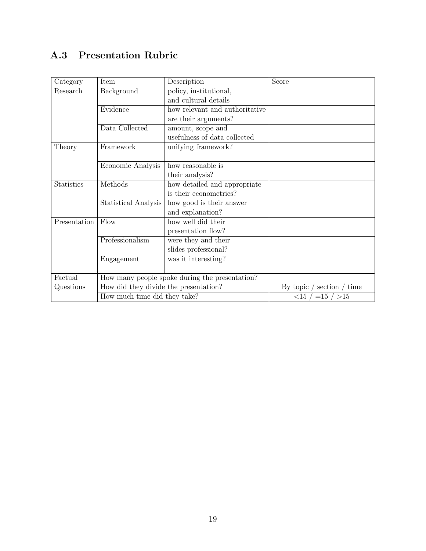# A.3 Presentation Rubric

| Category     | Item                                           | Description                    | Score                            |
|--------------|------------------------------------------------|--------------------------------|----------------------------------|
| Research     | Background                                     | policy, institutional,         |                                  |
|              |                                                | and cultural details           |                                  |
|              | Evidence                                       | how relevant and authoritative |                                  |
|              |                                                | are their arguments?           |                                  |
|              | Data Collected                                 | amount, scope and              |                                  |
|              |                                                | usefulness of data collected   |                                  |
| Theory       | Framework                                      | unifying framework?            |                                  |
|              |                                                |                                |                                  |
|              | Economic Analysis                              | how reasonable is              |                                  |
|              |                                                | their analysis?                |                                  |
| Statistics   | Methods                                        | how detailed and appropriate   |                                  |
|              |                                                | is their econometrics?         |                                  |
|              | <b>Statistical Analysis</b>                    | how good is their answer       |                                  |
|              |                                                | and explanation?               |                                  |
| Presentation | Flow                                           | how well did their             |                                  |
|              |                                                | presentation flow?             |                                  |
|              | Professionalism                                | were they and their            |                                  |
|              |                                                | slides professional?           |                                  |
|              | Engagement                                     | was it interesting?            |                                  |
|              |                                                |                                |                                  |
| Factual      | How many people spoke during the presentation? |                                |                                  |
| Questions    | How did they divide the presentation?          |                                | section $/$ time<br>By topic $/$ |
|              | How much time did they take?                   |                                | $\langle 15 / = 15 / > 15$       |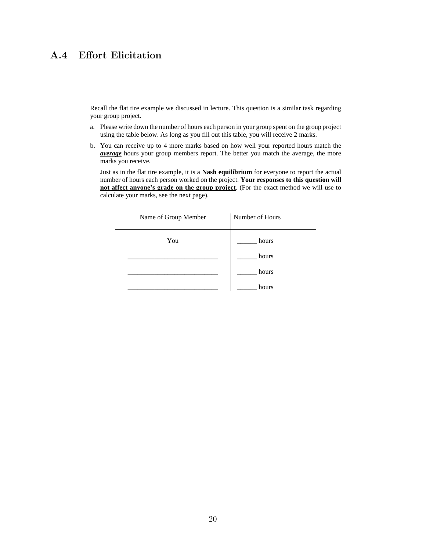## A.4 Effort Elicitation

Recall the flat tire example we discussed in lecture. This question is a similar task regarding your group project.

- a. Please write down the number of hours each person in your group spent on the group project using the table below. As long as you fill out this table, you will receive 2 marks.
- b. You can receive up to 4 more marks based on how well your reported hours match the *average* hours your group members report. The better you match the average, the more marks you receive.

Just as in the flat tire example, it is a **Nash equilibrium** for everyone to report the actual number of hours each person worked on the project. **Your responses to this question will not affect anyone's grade on the group project**. (For the exact method we will use to calculate your marks, see the next page).

| Name of Group Member | Number of Hours |
|----------------------|-----------------|
| You                  | hours           |
|                      | hours           |
|                      | hours           |
|                      | hours           |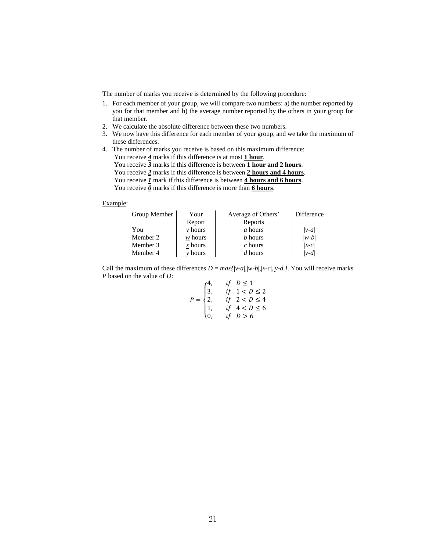The number of marks you receive is determined by the following procedure:

- 1. For each member of your group, we will compare two numbers: a) the number reported by you for that member and b) the average number reported by the others in your group for that member.
- 2. We calculate the absolute difference between these two numbers.
- 3. We now have this difference for each member of your group, and we take the maximum of these differences.
- 4. The number of marks you receive is based on this maximum difference: You receive  $\frac{4}{5}$  marks if this difference is at most **1 hour**. You receive *3* marks if this difference is between **1 hour and 2 hours**. You receive *2* marks if this difference is between **2 hours and 4 hours**. You receive  $\overline{I}$  mark if this difference is between  $\overline{4}$  hours and 6 hours. You receive  $\overline{\mathbf{0}}$  marks if this difference is more than **6 hours**.

Example:

| Group Member | Your        | Average of Others' | Difference |
|--------------|-------------|--------------------|------------|
|              | Report      | Reports            |            |
| You          | $\nu$ hours | a hours            | $ v-a $    |
| Member 2     | $w$ hours   | b hours            | $ w-b $    |
| Member 3     | $x$ hours   | $c$ hours          | $ x-c $    |
| Member 4     | $v$ hours   | d hours            | $ v-d $    |

Call the maximum of these differences  $D = max{ |v-a|, |w-b|, |x-c|, |y-d| }$ . You will receive marks *P* based on the value of *D*:  $4$   $\frac{1}{2}$   $\sqrt{1}$ 

$$
P = \begin{cases} 4, & \text{if } D \le 1 \\ 3, & \text{if } 1 < D \le 2 \\ 2, & \text{if } 2 < D \le 4 \\ 1, & \text{if } 4 < D \le 6 \\ 0, & \text{if } D > 6 \end{cases}
$$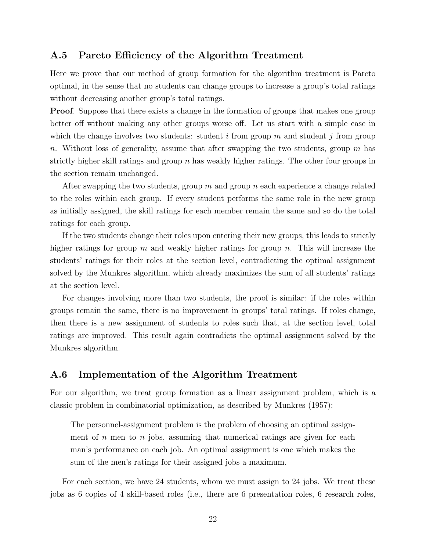#### A.5 Pareto Efficiency of the Algorithm Treatment

Here we prove that our method of group formation for the algorithm treatment is Pareto optimal, in the sense that no students can change groups to increase a group's total ratings without decreasing another group's total ratings.

Proof. Suppose that there exists a change in the formation of groups that makes one group better off without making any other groups worse off. Let us start with a simple case in which the change involves two students: student i from group m and student j from group n. Without loss of generality, assume that after swapping the two students, group  $m$  has strictly higher skill ratings and group  $n$  has weakly higher ratings. The other four groups in the section remain unchanged.

After swapping the two students, group m and group n each experience a change related to the roles within each group. If every student performs the same role in the new group as initially assigned, the skill ratings for each member remain the same and so do the total ratings for each group.

If the two students change their roles upon entering their new groups, this leads to strictly higher ratings for group m and weakly higher ratings for group n. This will increase the students' ratings for their roles at the section level, contradicting the optimal assignment solved by the Munkres algorithm, which already maximizes the sum of all students' ratings at the section level.

For changes involving more than two students, the proof is similar: if the roles within groups remain the same, there is no improvement in groups' total ratings. If roles change, then there is a new assignment of students to roles such that, at the section level, total ratings are improved. This result again contradicts the optimal assignment solved by the Munkres algorithm.

### A.6 Implementation of the Algorithm Treatment

For our algorithm, we treat group formation as a linear assignment problem, which is a classic problem in combinatorial optimization, as described by Munkres (1957):

The personnel-assignment problem is the problem of choosing an optimal assignment of n men to n jobs, assuming that numerical ratings are given for each man's performance on each job. An optimal assignment is one which makes the sum of the men's ratings for their assigned jobs a maximum.

For each section, we have 24 students, whom we must assign to 24 jobs. We treat these jobs as 6 copies of 4 skill-based roles (i.e., there are 6 presentation roles, 6 research roles,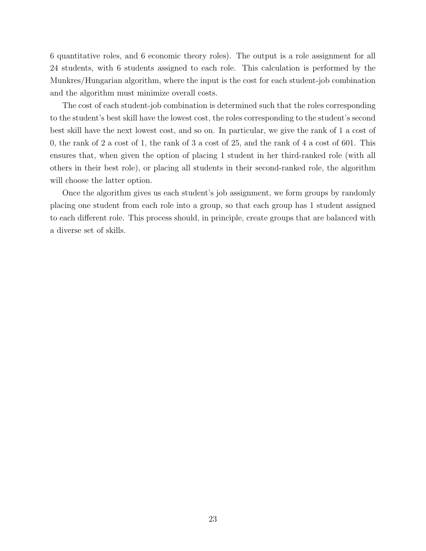6 quantitative roles, and 6 economic theory roles). The output is a role assignment for all 24 students, with 6 students assigned to each role. This calculation is performed by the Munkres/Hungarian algorithm, where the input is the cost for each student-job combination and the algorithm must minimize overall costs.

The cost of each student-job combination is determined such that the roles corresponding to the student's best skill have the lowest cost, the roles corresponding to the student's second best skill have the next lowest cost, and so on. In particular, we give the rank of 1 a cost of 0, the rank of 2 a cost of 1, the rank of 3 a cost of 25, and the rank of 4 a cost of 601. This ensures that, when given the option of placing 1 student in her third-ranked role (with all others in their best role), or placing all students in their second-ranked role, the algorithm will choose the latter option.

Once the algorithm gives us each student's job assignment, we form groups by randomly placing one student from each role into a group, so that each group has 1 student assigned to each different role. This process should, in principle, create groups that are balanced with a diverse set of skills.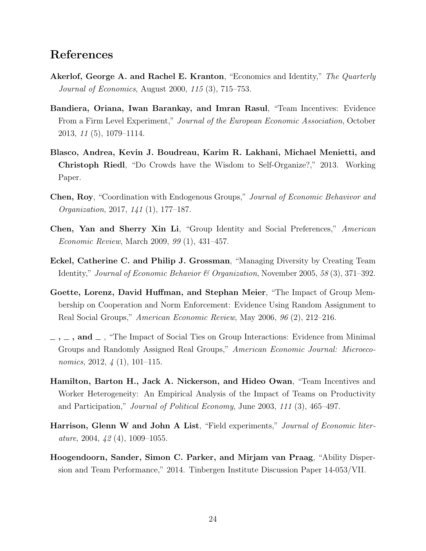## References

- Akerlof, George A. and Rachel E. Kranton, "Economics and Identity," The Quarterly Journal of Economics, August 2000, 115 (3), 715–753.
- Bandiera, Oriana, Iwan Barankay, and Imran Rasul, "Team Incentives: Evidence From a Firm Level Experiment," Journal of the European Economic Association, October 2013, 11 (5), 1079–1114.
- Blasco, Andrea, Kevin J. Boudreau, Karim R. Lakhani, Michael Menietti, and Christoph Riedl, "Do Crowds have the Wisdom to Self-Organize?," 2013. Working Paper.
- Chen, Roy, "Coordination with Endogenous Groups," Journal of Economic Behavivor and Organization, 2017, 141 (1), 177–187.
- Chen, Yan and Sherry Xin Li, "Group Identity and Social Preferences," American Economic Review, March 2009, 99 (1), 431–457.
- Eckel, Catherine C. and Philip J. Grossman, "Managing Diversity by Creating Team Identity," Journal of Economic Behavior & Organization, November 2005, 58 (3), 371–392.
- Goette, Lorenz, David Huffman, and Stephan Meier, "The Impact of Group Membership on Cooperation and Norm Enforcement: Evidence Using Random Assignment to Real Social Groups," American Economic Review, May 2006, 96 (2), 212–216.
- $\ldots$ ,  $\ldots$ , and  $\ldots$ , "The Impact of Social Ties on Group Interactions: Evidence from Minimal Groups and Randomly Assigned Real Groups," American Economic Journal: Microeconomics, 2012, 4 (1), 101–115.
- Hamilton, Barton H., Jack A. Nickerson, and Hideo Owan, "Team Incentives and Worker Heterogeneity: An Empirical Analysis of the Impact of Teams on Productivity and Participation," Journal of Political Economy, June 2003, 111 (3), 465–497.
- Harrison, Glenn W and John A List, "Field experiments," Journal of Economic literature, 2004,  $\frac{1}{2}$  (4), 1009-1055.
- Hoogendoorn, Sander, Simon C. Parker, and Mirjam van Praag, "Ability Dispersion and Team Performance," 2014. Tinbergen Institute Discussion Paper 14-053/VII.